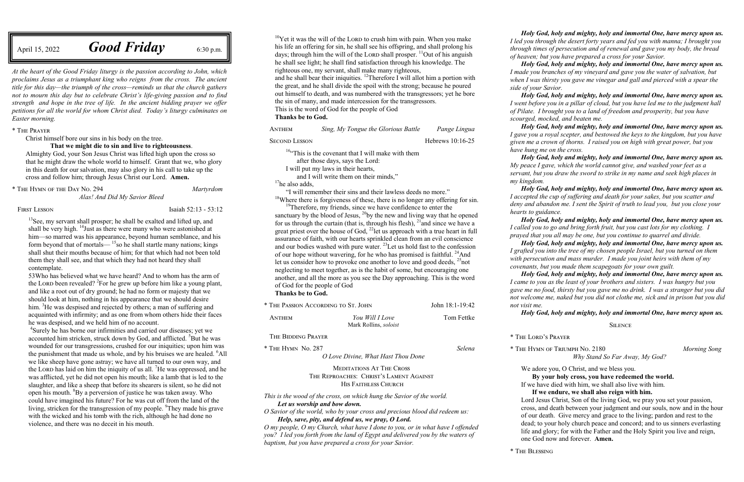April 15, 2022 **Good Friday** 6:30 p.m.

*At the heart of the Good Friday liturgy is the passion according to John, which proclaims Jesus as a triumphant king who reigns from the cross. The ancient title for this day—the triumph of the cross—reminds us that the church gathers not to mourn this day but to celebrate Christ's life-giving passion and to find strength and hope in the tree of life. In the ancient bidding prayer we offer petitions for all the world for whom Christ died. Today's liturgy culminates on Easter morning.*

## \* The Prayer

Christ himself bore our sins in his body on the tree.

# **That we might die to sin and live to righteousness**.

 $13$ See, my servant shall prosper; he shall be exalted and lifted up, and shall be very high. <sup>14</sup> Just as there were many who were astonished at him—so marred was his appearance, beyond human semblance, and his form beyond that of mortals— $15$ so he shall startle many nations; kings shall shut their mouths because of him; for that which had not been told them they shall see, and that which they had not heard they shall contemplate.

Almighty God, your Son Jesus Christ was lifted high upon the cross so that he might draw the whole world to himself. Grant that we, who glory in this death for our salvation, may also glory in his call to take up the cross and follow him; through Jesus Christ our Lord. **Amen.** 

\* The Hymn of the Day No. 294 *Martyrdom*

*Alas! And Did My Savior Bleed*

First Lesson Isaiah 52:13 - 53:12

 $10$ Yet it was the will of the LORD to crush him with pain. When you make his life an offering for sin, he shall see his offspring, and shall prolong his days; through him the will of the LORD shall prosper.  $\frac{11}{1}$ Out of his anguish he shall see light; he shall find satisfaction through his knowledge. The righteous one, my servant, shall make many righteous,

53Who has believed what we have heard? And to whom has the arm of the Lord been revealed?  ${}^{2}$ For he grew up before him like a young plant, and like a root out of dry ground; he had no form or majesty that we should look at him, nothing in his appearance that we should desire him. <sup>3</sup>He was despised and rejected by others; a man of suffering and acquainted with infirmity; and as one from whom others hide their faces he was despised, and we held him of no account.

and he shall bear their iniquities.  $^{12}$ Therefore I will allot him a portion with the great, and he shall divide the spoil with the strong; because he poured out himself to death, and was numbered with the transgressors; yet he bore the sin of many, and made intercession for the transgressors. This is the word of God for the people of God

4 Surely he has borne our infirmities and carried our diseases; yet we accounted him stricken, struck down by God, and afflicted. <sup>5</sup>But he was wounded for our transgressions, crushed for our iniquities; upon him was the punishment that made us whole, and by his bruises we are healed. <sup>6</sup>All we like sheep have gone astray; we have all turned to our own way, and the Lord has laid on him the iniquity of us all. <sup>7</sup>He was oppressed, and he was afflicted, yet he did not open his mouth; like a lamb that is led to the slaughter, and like a sheep that before its shearers is silent, so he did not open his mouth. <sup>8</sup>By a perversion of justice he was taken away. Who could have imagined his future? For he was cut off from the land of the living, stricken for the transgression of my people. <sup>9</sup>They made his grave with the wicked and his tomb with the rich, although he had done no violence, and there was no deceit in his mouth.

sanctuary by the blood of Jesus,  $^{20}$ by the new and living way that he opened for us through the curtain (that is, through his flesh),  $^{21}$  and since we have a great priest over the house of God,  $^{22}$  let us approach with a true heart in full assurance of faith, with our hearts sprinkled clean from an evil conscience and our bodies washed with pure water.  $^{23}$  Let us hold fast to the confession of our hope without wavering, for he who has promised is faithful. <sup>24</sup>And let us consider how to provoke one another to love and good deeds,  $^{25}$  not neglecting to meet together, as is the habit of some, but encouraging one another, and all the more as you see the Day approaching. This is the word of God for the people of God

> MEDITATIONS AT THE CROSS The Reproaches: Christ's Lament Against His Faithless Church

**Thanks be to God.**

Anthem *Sing, My Tongue the Glorious Battle Pange Lingua*

SECOND LESSON Hebrews 10:16-25

<sup>16</sup>"This is the covenant that I will make with them

after those days, says the Lord:

I will put my laws in their hearts,

and I will write them on their minds,"

<sup>17</sup>he also adds,

"I will remember their sins and their lawless deeds no more."

 $18$ Where there is forgiveness of these, there is no longer any offering for sin.  $19$ Therefore, my friends, since we have confidence to enter the

**Thanks be to God.**

| * The Passion According to St. John                      |                                          | John 18:1-19:42 |
|----------------------------------------------------------|------------------------------------------|-----------------|
| <b>ANTHEM</b>                                            | You Will I Love<br>Mark Rollins, soloist | Tom Fettke      |
| THE BIDDING PRAYER                                       |                                          |                 |
| * The Hymn No. 287<br>O Love Divine, What Hast Thou Done |                                          | Selena          |
|                                                          | <b>MEDITATIONS AT THE CROSS</b>          |                 |

*This is the wood of the cross, on which hung the Savior of the world. Let us worship and bow down.*

*O Savior of the world, who by your cross and precious blood did redeem us: Help, save, pity, and defend us, we pray, O Lord.*

*O my people, O my Church, what have I done to you, or in what have I offended you? I led you forth from the land of Egypt and delivered you by the waters of baptism, but you have prepared a cross for your Savior.*

*Holy God, holy and mighty, holy and immortal One, have mercy upon us. I led you through the desert forty years and fed you with manna; I brought you through times of persecution and of renewal and gave you my body, the bread of heaven; but you have prepared a cross for your Savior.* 

*Holy God, holy and mighty, holy and immortal One, have mercy upon us. I made you branches of my vineyard and gave you the water of salvation, but when I was thirsty you gave me vinegar and gall and pierced with a spear the* 

*side of your Savior.*

*Holy God, holy and mighty, holy and immortal One, have mercy upon us. I went before you in a pillar of cloud, but you have led me to the judgment hall of Pilate. I brought you to a land of freedom and prosperity, but you have scourged, mocked, and beaten me.*

*Holy God, holy and mighty, holy and immortal One, have mercy upon us. I gave you a royal scepter, and bestowed the keys to the kingdom, but you have given me a crown of thorns. I raised you on high with great power, but you have hung me on the cross. Holy God, holy and mighty, holy and immortal One, have mercy upon us.* 

*My peace I gave, which the world cannot give, and washed your feet as a servant, but you draw the sword to strike in my name and seek high places in* 

*my kingdom.*

*Holy God, holy and mighty, holy and immortal One, have mercy upon us. I accepted the cup of suffering and death for your sakes, but you scatter and deny and abandon me. I sent the Spirit of truth to lead you, but you close your hearts to guidance.*

*Holy God, holy and mighty, holy and immortal One, have mercy upon us. I called you to go and bring forth fruit, but you cast lots for my clothing. I prayed that you all may be one, but you continue to quarrel and divide.*

*Holy God, holy and mighty, holy and immortal One, have mercy upon us. I grafted you into the tree of my chosen people Israel, but you turned on them with persecution and mass murder. I made you joint heirs with them of my covenants, but you made them scapegoats for your own guilt.*

*Holy God, holy and mighty, holy and immortal One, have mercy upon us. I came to you as the least of your brothers and sisters. I was hungry but you gave me no food, thirsty but you gave me no drink. I was a stranger but you did not welcome me, naked but you did not clothe me, sick and in prison but you did* 

*not visit me.*

# *Holy God, holy and mighty, holy and immortal One, have mercy upon us.*

**SILENCE** 

\* The Lord's Prayer

\* The Hymn of Triumph No. 2180 *Morning Song Why Stand So Far Away, My God?*

We adore you, O Christ, and we bless you. **By your holy cross, you have redeemed the world.** If we have died with him, we shall also live with him. **If we endure, we shall also reign with him.** Lord Jesus Christ, Son of the living God, we pray you set your passion, cross, and death between your judgment and our souls, now and in the hour of our death. Give mercy and grace to the living; pardon and rest to the dead; to your holy church peace and concord; and to us sinners everlasting life and glory; for with the Father and the Holy Spirit you live and reign, one God now and forever. **Amen.**

\* The Blessing